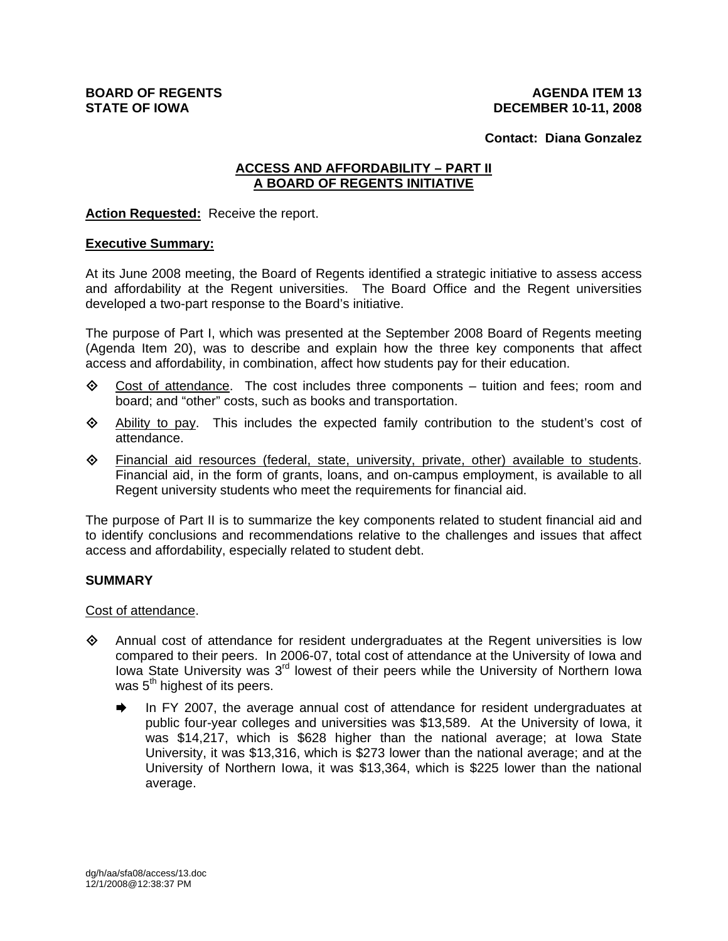#### **Contact: Diana Gonzalez**

# **ACCESS AND AFFORDABILITY – PART II A BOARD OF REGENTS INITIATIVE**

**Action Requested:** Receive the report.

# **Executive Summary:**

At its June 2008 meeting, the Board of Regents identified a strategic initiative to assess access and affordability at the Regent universities. The Board Office and the Regent universities developed a two-part response to the Board's initiative.

The purpose of Part I, which was presented at the September 2008 Board of Regents meeting (Agenda Item 20), was to describe and explain how the three key components that affect access and affordability, in combination, affect how students pay for their education.

- $\diamond$  Cost of attendance. The cost includes three components tuition and fees; room and board; and "other" costs, such as books and transportation.
- $\Leftrightarrow$  Ability to pay. This includes the expected family contribution to the student's cost of attendance.
- $\Leftrightarrow$  Financial aid resources (federal, state, university, private, other) available to students. Financial aid, in the form of grants, loans, and on-campus employment, is available to all Regent university students who meet the requirements for financial aid.

The purpose of Part II is to summarize the key components related to student financial aid and to identify conclusions and recommendations relative to the challenges and issues that affect access and affordability, especially related to student debt.

# **SUMMARY**

Cost of attendance.

- Annual cost of attendance for resident undergraduates at the Regent universities is low compared to their peers. In 2006-07, total cost of attendance at the University of Iowa and Iowa State University was  $3<sup>rd</sup>$  lowest of their peers while the University of Northern Iowa was  $5<sup>th</sup>$  highest of its peers.
	- In FY 2007, the average annual cost of attendance for resident undergraduates at public four-year colleges and universities was \$13,589. At the University of Iowa, it was \$14,217, which is \$628 higher than the national average; at Iowa State University, it was \$13,316, which is \$273 lower than the national average; and at the University of Northern Iowa, it was \$13,364, which is \$225 lower than the national average.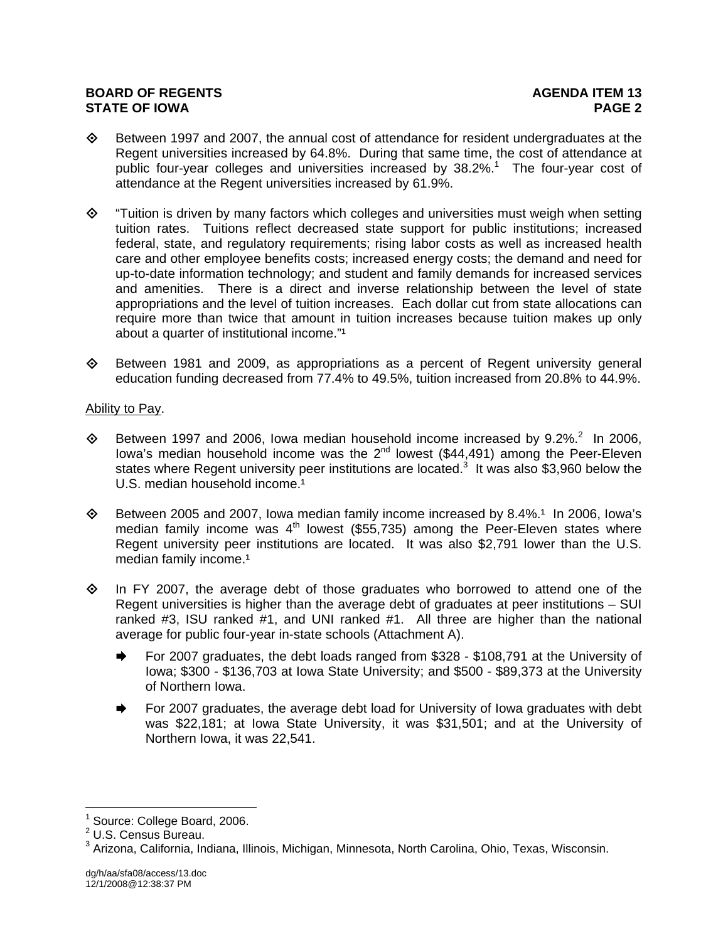- $\diamond$  Between 1997 and 2007, the annual cost of attendance for resident undergraduates at the Regent universities increased by 64.8%. During that same time, the cost of attendance at public four-year colleges and universities increased by 38.2%.<sup>1</sup> The four-year cost of attendance at the Regent universities increased by 61.9%.
- $\diamond$  "Tuition is driven by many factors which colleges and universities must weigh when setting tuition rates. Tuitions reflect decreased state support for public institutions; increased federal, state, and regulatory requirements; rising labor costs as well as increased health care and other employee benefits costs; increased energy costs; the demand and need for up-to-date information technology; and student and family demands for increased services and amenities. There is a direct and inverse relationship between the level of state appropriations and the level of tuition increases. Each dollar cut from state allocations can require more than twice that amount in tuition increases because tuition makes up only about a quarter of institutional income."<sup>1</sup>
- $\diamond$  Between 1981 and 2009, as appropriations as a percent of Regent university general education funding decreased from 77.4% to 49.5%, tuition increased from 20.8% to 44.9%.

# Ability to Pay.

- $\diamond$  Between 1997 and 2006, Iowa median household income increased by 9.2%.<sup>2</sup> In 2006, Iowa's median household income was the  $2^{nd}$  lowest (\$44,491) among the Peer-Eleven states where Regent university peer institutions are located.<sup>3</sup> It was also \$3,960 below the U.S. median household income.<sup>1</sup>
- $\diamond$  Between 2005 and 2007, Iowa median family income increased by 8.4%.<sup>1</sup> In 2006, Iowa's median family income was  $4<sup>th</sup>$  lowest (\$55,735) among the Peer-Eleven states where Regent university peer institutions are located. It was also \$2,791 lower than the U.S. median family income.<sup>1</sup>
- $\Diamond$  In FY 2007, the average debt of those graduates who borrowed to attend one of the Regent universities is higher than the average debt of graduates at peer institutions – SUI ranked #3, ISU ranked #1, and UNI ranked #1. All three are higher than the national average for public four-year in-state schools (Attachment A).
	- $\blacktriangleright$  For 2007 graduates, the debt loads ranged from \$328 \$108,791 at the University of Iowa; \$300 - \$136,703 at Iowa State University; and \$500 - \$89,373 at the University of Northern Iowa.
	- $\rightarrow$  For 2007 graduates, the average debt load for University of Iowa graduates with debt was \$22,181; at Iowa State University, it was \$31,501; and at the University of Northern Iowa, it was 22,541.

<sup>&</sup>lt;sup>1</sup> Source: College Board, 2006.

<sup>2</sup> U.S. Census Bureau.

<sup>&</sup>lt;sup>3</sup> Arizona, California, Indiana, Illinois, Michigan, Minnesota, North Carolina, Ohio, Texas, Wisconsin.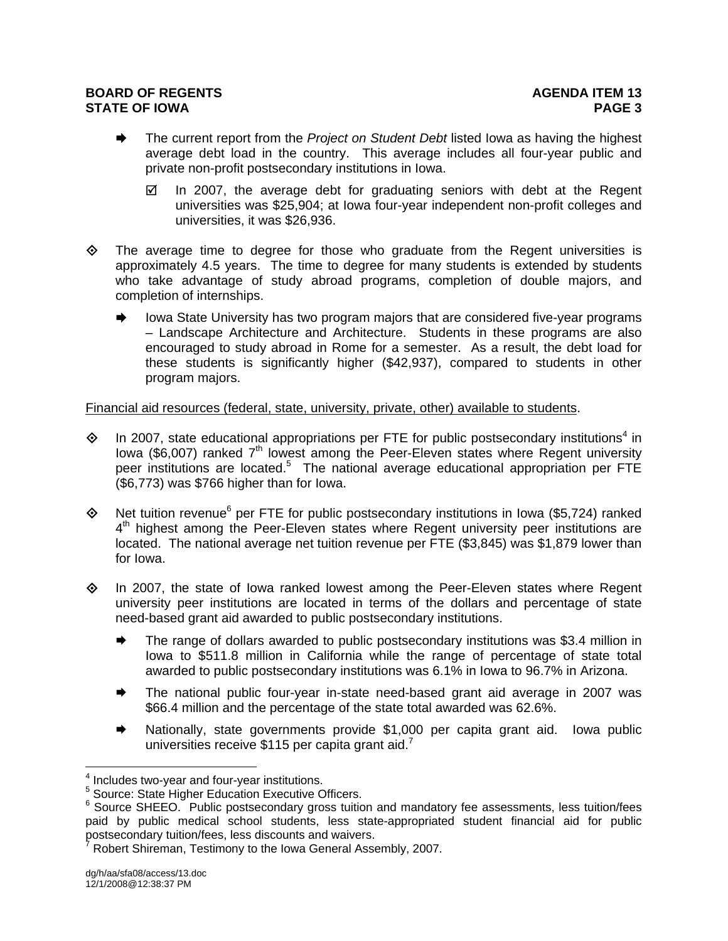- **■** The current report from the *Project on Student Debt* listed Iowa as having the highest average debt load in the country. This average includes all four-year public and private non-profit postsecondary institutions in Iowa.
	- $\boxtimes$  In 2007, the average debt for graduating seniors with debt at the Regent universities was \$25,904; at Iowa four-year independent non-profit colleges and universities, it was \$26,936.
- $\diamond$  The average time to degree for those who graduate from the Regent universities is approximately 4.5 years. The time to degree for many students is extended by students who take advantage of study abroad programs, completion of double majors, and completion of internships.
	- lowa State University has two program majors that are considered five-year programs – Landscape Architecture and Architecture. Students in these programs are also encouraged to study abroad in Rome for a semester. As a result, the debt load for these students is significantly higher (\$42,937), compared to students in other program majors.

Financial aid resources (federal, state, university, private, other) available to students.

- $\diamond$  In 2007, state educational appropriations per FTE for public postsecondary institutions<sup>4</sup> in Iowa (\$6,007) ranked  $7<sup>th</sup>$  lowest among the Peer-Eleven states where Regent university peer institutions are located.<sup>5</sup> The national average educational appropriation per FTE (\$6,773) was \$766 higher than for Iowa.
- $\diamond$  Net tuition revenue<sup>6</sup> per FTE for public postsecondary institutions in Iowa (\$5,724) ranked  $4<sup>th</sup>$  highest among the Peer-Eleven states where Regent university peer institutions are located. The national average net tuition revenue per FTE (\$3,845) was \$1,879 lower than for Iowa.
- $\diamond$  In 2007, the state of Iowa ranked lowest among the Peer-Eleven states where Regent university peer institutions are located in terms of the dollars and percentage of state need-based grant aid awarded to public postsecondary institutions.
	- The range of dollars awarded to public postsecondary institutions was \$3.4 million in Iowa to \$511.8 million in California while the range of percentage of state total awarded to public postsecondary institutions was 6.1% in Iowa to 96.7% in Arizona.
	- The national public four-year in-state need-based grant aid average in 2007 was \$66.4 million and the percentage of the state total awarded was 62.6%.
	- Nationally, state governments provide \$1,000 per capita grant aid. Iowa public universities receive \$115 per capita grant aid. $<sup>7</sup>$ </sup>

 $4$  Includes two-year and four-year institutions.

<sup>&</sup>lt;sup>5</sup> Source: State Higher Education Executive Officers.

 $6$  Source SHEEO. Public postsecondary gross tuition and mandatory fee assessments, less tuition/fees paid by public medical school students, less state-appropriated student financial aid for public postsecondary tuition/fees, less discounts and waivers. 7

Robert Shireman, Testimony to the Iowa General Assembly, 2007.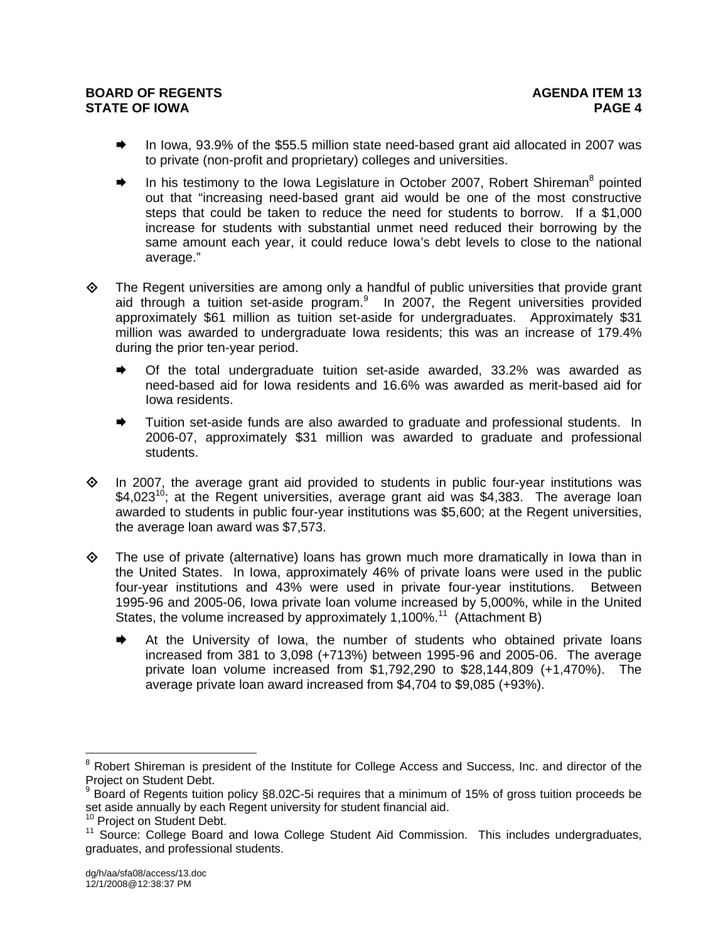- In Iowa, 93.9% of the \$55.5 million state need-based grant aid allocated in 2007 was to private (non-profit and proprietary) colleges and universities.
- $\blacktriangleright$  In his testimony to the Iowa Legislature in October 2007, Robert Shireman<sup>8</sup> pointed out that "increasing need-based grant aid would be one of the most constructive steps that could be taken to reduce the need for students to borrow. If a \$1,000 increase for students with substantial unmet need reduced their borrowing by the same amount each year, it could reduce Iowa's debt levels to close to the national average."
- The Regent universities are among only a handful of public universities that provide grant aid through a tuition set-aside program. $9$  In 2007, the Regent universities provided approximately \$61 million as tuition set-aside for undergraduates. Approximately \$31 million was awarded to undergraduate Iowa residents; this was an increase of 179.4% during the prior ten-year period.
	- $\rightarrow$  Of the total undergraduate tuition set-aside awarded, 33.2% was awarded as need-based aid for Iowa residents and 16.6% was awarded as merit-based aid for Iowa residents.
	- Tuition set-aside funds are also awarded to graduate and professional students. In 2006-07, approximately \$31 million was awarded to graduate and professional students.
- $\Diamond$  In 2007, the average grant aid provided to students in public four-year institutions was  $$4,023^{10}$ ; at the Regent universities, average grant aid was  $$4,383$ . The average loan awarded to students in public four-year institutions was \$5,600; at the Regent universities, the average loan award was \$7,573.
- $\Leftrightarrow$  The use of private (alternative) loans has grown much more dramatically in lowa than in the United States. In Iowa, approximately 46% of private loans were used in the public four-year institutions and 43% were used in private four-year institutions. Between 1995-96 and 2005-06, Iowa private loan volume increased by 5,000%, while in the United States, the volume increased by approximately 1,100%.<sup>11</sup> (Attachment B)
	- At the University of Iowa, the number of students who obtained private loans increased from 381 to 3,098 (+713%) between 1995-96 and 2005-06. The average private loan volume increased from \$1,792,290 to \$28,144,809 (+1,470%). The average private loan award increased from \$4,704 to \$9,085 (+93%).

ENDED TO THE TROOD TO THE TROOD TO THE TROOD THE TROOD THE ROBERT AND THE TROOD THE TROOD THE TROOD THE TROOD THE TROOD THE TROOD THE TROOD THE TROOD THE TROOD THE TROOD THE TROOD THE TROOD THE TROOD THE TROOD THE TROOD TH Project on Student Debt.

<sup>&</sup>lt;sup>9</sup> Board of Regents tuition policy §8.02C-5i requires that a minimum of 15% of gross tuition proceeds be set aside annually by each Regent university for student financial aid.<br><sup>10</sup> Project on Student Debt.

<sup>&</sup>lt;sup>11</sup> Source: College Board and Iowa College Student Aid Commission. This includes undergraduates, graduates, and professional students.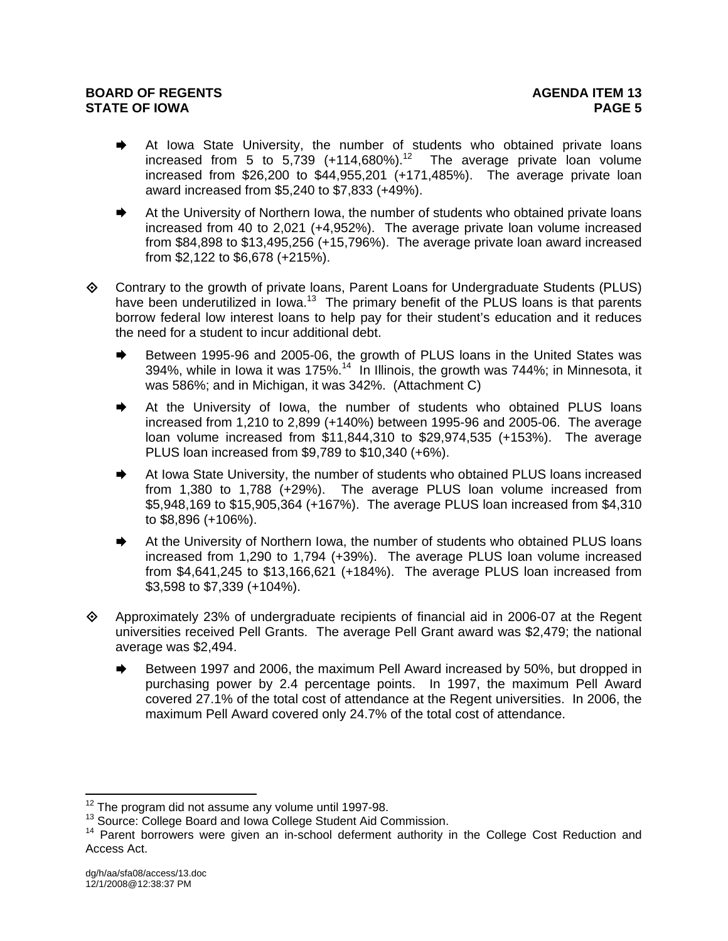- At Iowa State University, the number of students who obtained private loans increased from 5 to  $5,739$  (+114,680%).<sup>12</sup> The average private loan volume increased from \$26,200 to \$44,955,201 (+171,485%). The average private loan award increased from \$5,240 to \$7,833 (+49%).
- At the University of Northern Iowa, the number of students who obtained private loans increased from 40 to 2,021 (+4,952%). The average private loan volume increased from \$84,898 to \$13,495,256 (+15,796%). The average private loan award increased from \$2,122 to \$6,678 (+215%).
- Contrary to the growth of private loans, Parent Loans for Undergraduate Students (PLUS) have been underutilized in Iowa.<sup>13</sup> The primary benefit of the PLUS loans is that parents borrow federal low interest loans to help pay for their student's education and it reduces the need for a student to incur additional debt.
	- Between 1995-96 and 2005-06, the growth of PLUS loans in the United States was 394%, while in Iowa it was 175%.<sup>14</sup> In Illinois, the growth was 744%; in Minnesota, it was 586%; and in Michigan, it was 342%. (Attachment C)
	- **■** At the University of Iowa, the number of students who obtained PLUS loans increased from 1,210 to 2,899 (+140%) between 1995-96 and 2005-06. The average loan volume increased from \$11,844,310 to \$29,974,535 (+153%). The average PLUS loan increased from \$9,789 to \$10,340 (+6%).
	- At Iowa State University, the number of students who obtained PLUS loans increased from 1,380 to 1,788 (+29%). The average PLUS loan volume increased from \$5,948,169 to \$15,905,364 (+167%). The average PLUS loan increased from \$4,310 to \$8,896 (+106%).
	- At the University of Northern Iowa, the number of students who obtained PLUS loans increased from 1,290 to 1,794 (+39%). The average PLUS loan volume increased from \$4,641,245 to \$13,166,621 (+184%). The average PLUS loan increased from \$3,598 to \$7,339 (+104%).
- $\Diamond$  Approximately 23% of undergraduate recipients of financial aid in 2006-07 at the Regent universities received Pell Grants. The average Pell Grant award was \$2,479; the national average was \$2,494.
	- Between 1997 and 2006, the maximum Pell Award increased by 50%, but dropped in purchasing power by 2.4 percentage points. In 1997, the maximum Pell Award covered 27.1% of the total cost of attendance at the Regent universities. In 2006, the maximum Pell Award covered only 24.7% of the total cost of attendance.

<sup>&</sup>lt;sup>12</sup> The program did not assume any volume until 1997-98.

<sup>&</sup>lt;sup>13</sup> Source: College Board and Iowa College Student Aid Commission.<br><sup>14</sup> Parent borrowers were given an in-school deferment authority in the College Cost Reduction and Access Act.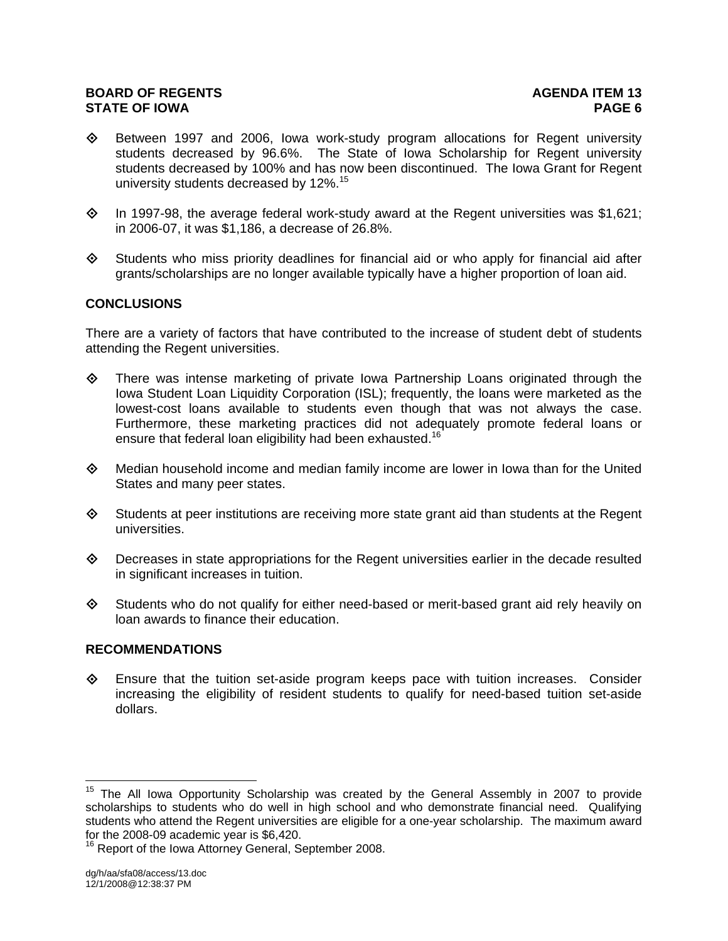- $\diamond$  Between 1997 and 2006, Iowa work-study program allocations for Regent university students decreased by 96.6%. The State of Iowa Scholarship for Regent university students decreased by 100% and has now been discontinued. The Iowa Grant for Regent university students decreased by 12%.<sup>15</sup>
- $\diamond$  In 1997-98, the average federal work-study award at the Regent universities was \$1,621; in 2006-07, it was \$1,186, a decrease of 26.8%.
- $\diamond$  Students who miss priority deadlines for financial aid or who apply for financial aid after grants/scholarships are no longer available typically have a higher proportion of loan aid.

# **CONCLUSIONS**

There are a variety of factors that have contributed to the increase of student debt of students attending the Regent universities.

- $\diamond$  There was intense marketing of private Iowa Partnership Loans originated through the Iowa Student Loan Liquidity Corporation (ISL); frequently, the loans were marketed as the lowest-cost loans available to students even though that was not always the case. Furthermore, these marketing practices did not adequately promote federal loans or ensure that federal loan eligibility had been exhausted.<sup>16</sup>
- $\diamond$  Median household income and median family income are lower in lowa than for the United States and many peer states.
- $\diamond$  Students at peer institutions are receiving more state grant aid than students at the Regent universities.
- $\Diamond$  Decreases in state appropriations for the Regent universities earlier in the decade resulted in significant increases in tuition.
- Students who do not qualify for either need-based or merit-based grant aid rely heavily on loan awards to finance their education.

#### **RECOMMENDATIONS**

 $\diamond$  Ensure that the tuition set-aside program keeps pace with tuition increases. Consider increasing the eligibility of resident students to qualify for need-based tuition set-aside dollars.

 $15$  The All Iowa Opportunity Scholarship was created by the General Assembly in 2007 to provide scholarships to students who do well in high school and who demonstrate financial need. Qualifying students who attend the Regent universities are eligible for a one-year scholarship. The maximum award for the 2008-09 academic year is \$6,420.

<sup>&</sup>lt;sup>16</sup> Report of the Iowa Attorney General, September 2008.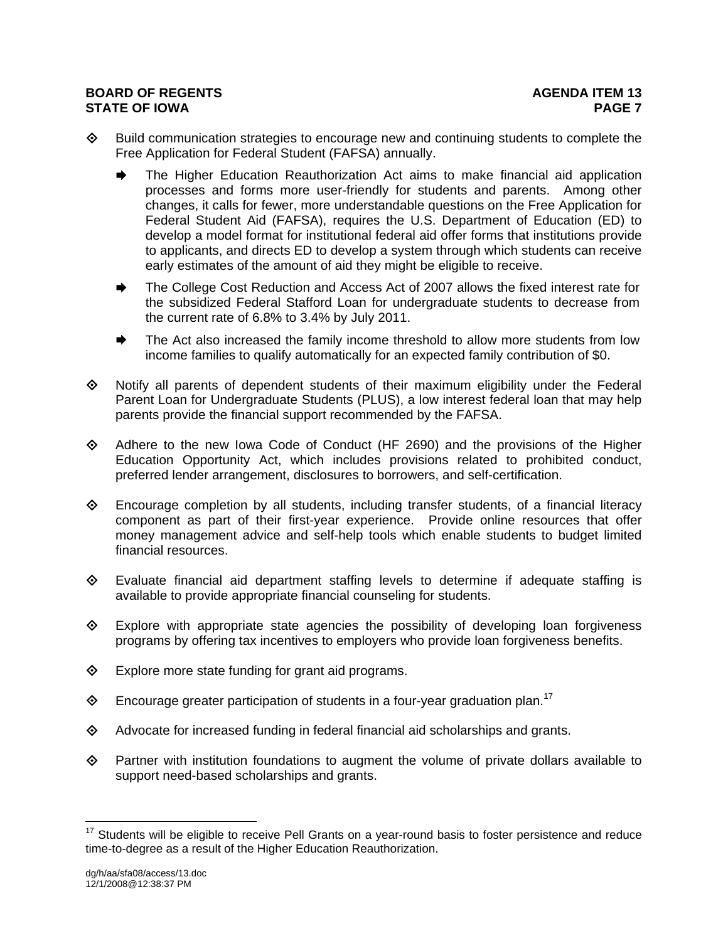- $\Diamond$  Build communication strategies to encourage new and continuing students to complete the Free Application for Federal Student (FAFSA) annually.
	- The Higher Education Reauthorization Act aims to make financial aid application processes and forms more user-friendly for students and parents. Among other changes, it calls for fewer, more understandable questions on the Free Application for Federal Student Aid (FAFSA), requires the U.S. Department of Education (ED) to develop a model format for institutional federal aid offer forms that institutions provide to applicants, and directs ED to develop a system through which students can receive early estimates of the amount of aid they might be eligible to receive.
	- The College Cost Reduction and Access Act of 2007 allows the fixed interest rate for the subsidized Federal Stafford Loan for undergraduate students to decrease from the current rate of 6.8% to 3.4% by July 2011.
	- The Act also increased the family income threshold to allow more students from low income families to qualify automatically for an expected family contribution of \$0.
- $\Leftrightarrow$  Notify all parents of dependent students of their maximum eligibility under the Federal Parent Loan for Undergraduate Students (PLUS), a low interest federal loan that may help parents provide the financial support recommended by the FAFSA.
- Adhere to the new Iowa Code of Conduct (HF 2690) and the provisions of the Higher Education Opportunity Act, which includes provisions related to prohibited conduct, preferred lender arrangement, disclosures to borrowers, and self-certification.
- Encourage completion by all students, including transfer students, of a financial literacy component as part of their first-year experience. Provide online resources that offer money management advice and self-help tools which enable students to budget limited financial resources.
- $\Diamond$  Evaluate financial aid department staffing levels to determine if adequate staffing is available to provide appropriate financial counseling for students.
- $\diamondsuit$  Explore with appropriate state agencies the possibility of developing loan forgiveness programs by offering tax incentives to employers who provide loan forgiveness benefits.
- $\diamond$  Explore more state funding for grant aid programs.
- $\diamond$  Encourage greater participation of students in a four-year graduation plan.<sup>17</sup>
- $\diamond$  Advocate for increased funding in federal financial aid scholarships and grants.
- $\Diamond$  Partner with institution foundations to augment the volume of private dollars available to support need-based scholarships and grants.

 $17$  Students will be eligible to receive Pell Grants on a year-round basis to foster persistence and reduce time-to-degree as a result of the Higher Education Reauthorization.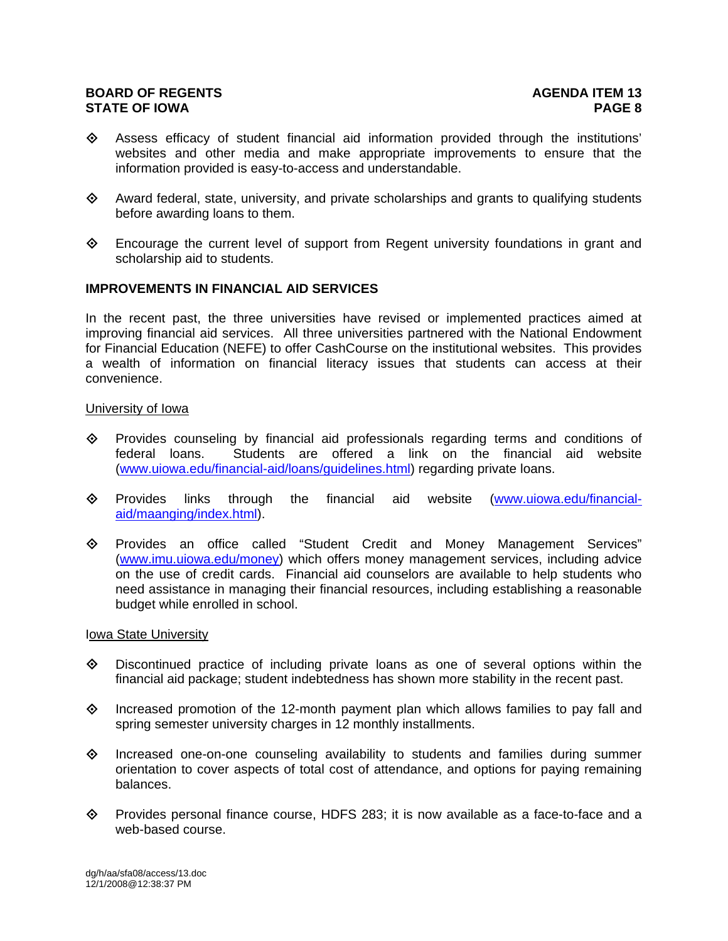- $\diamondsuit$  Assess efficacy of student financial aid information provided through the institutions' websites and other media and make appropriate improvements to ensure that the information provided is easy-to-access and understandable.
- $\diamond$  Award federal, state, university, and private scholarships and grants to qualifying students before awarding loans to them.
- $\diamondsuit$  Encourage the current level of support from Regent university foundations in grant and scholarship aid to students.

#### **IMPROVEMENTS IN FINANCIAL AID SERVICES**

In the recent past, the three universities have revised or implemented practices aimed at improving financial aid services. All three universities partnered with the National Endowment for Financial Education (NEFE) to offer CashCourse on the institutional websites. This provides a wealth of information on financial literacy issues that students can access at their convenience.

#### University of Iowa

- $\diamond$  Provides counseling by financial aid professionals regarding terms and conditions of federal loans. Students are offered a link on the financial aid website (www.uiowa.edu/financial-aid/loans/guidelines.html) regarding private loans.
- $\diamond$  Provides links through the financial aid website (www.uiowa.edu/financialaid/maanging/index.html).
- Provides an office called "Student Credit and Money Management Services" (www.imu.uiowa.edu/money) which offers money management services, including advice on the use of credit cards. Financial aid counselors are available to help students who need assistance in managing their financial resources, including establishing a reasonable budget while enrolled in school.

#### Iowa State University

- $\Diamond$  Discontinued practice of including private loans as one of several options within the financial aid package; student indebtedness has shown more stability in the recent past.
- $\diamond$  Increased promotion of the 12-month payment plan which allows families to pay fall and spring semester university charges in 12 monthly installments.
- $\diamond$  Increased one-on-one counseling availability to students and families during summer orientation to cover aspects of total cost of attendance, and options for paying remaining balances.
- $\diamond$  Provides personal finance course, HDFS 283; it is now available as a face-to-face and a web-based course.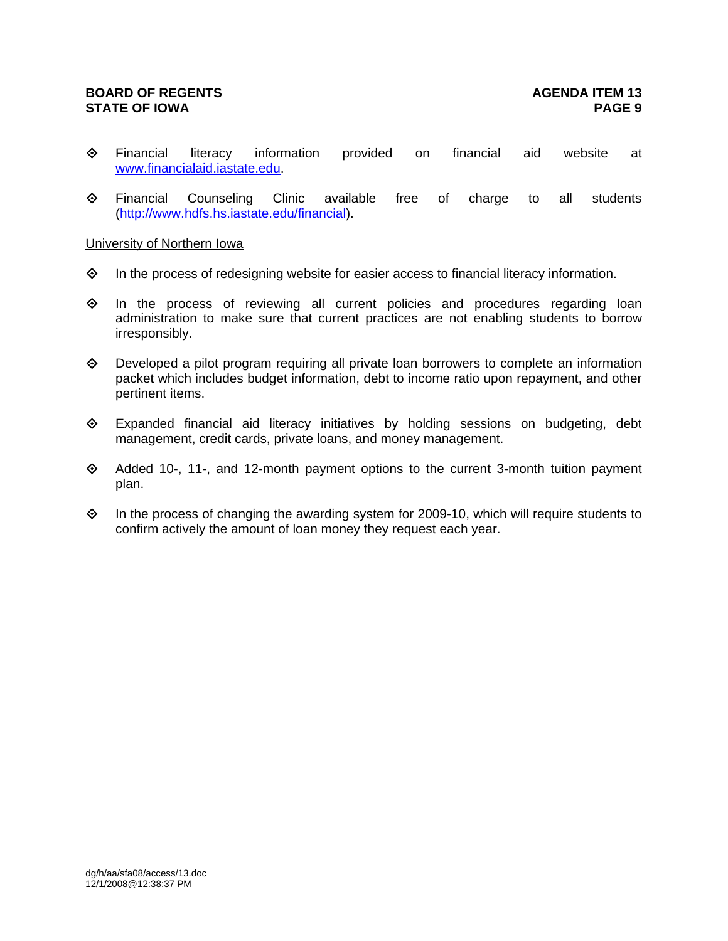- $\Leftrightarrow$  Financial literacy information provided on financial aid website at www.financialaid.iastate.edu.
- $\Leftrightarrow$  Financial Counseling Clinic available free of charge to all students (http://www.hdfs.hs.iastate.edu/financial).

# University of Northern Iowa

- $\Diamond$  In the process of redesigning website for easier access to financial literacy information.
- $\diamondsuit$  In the process of reviewing all current policies and procedures regarding loan administration to make sure that current practices are not enabling students to borrow irresponsibly.
- $\Diamond$  Developed a pilot program requiring all private loan borrowers to complete an information packet which includes budget information, debt to income ratio upon repayment, and other pertinent items.
- Expanded financial aid literacy initiatives by holding sessions on budgeting, debt management, credit cards, private loans, and money management.
- Added 10-, 11-, and 12-month payment options to the current 3-month tuition payment plan.
- $\Diamond$  In the process of changing the awarding system for 2009-10, which will require students to confirm actively the amount of loan money they request each year.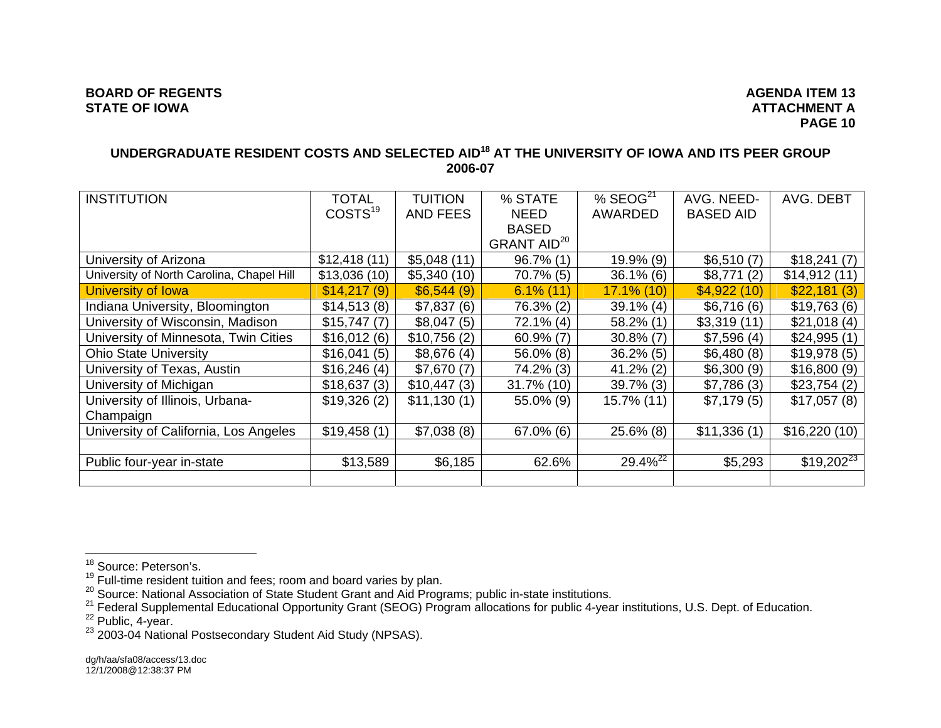# **UNDERGRADUATE RESIDENT COSTS AND SELECTED AID18 AT THE UNIVERSITY OF IOWA AND ITS PEER GROUP 2006-07**

| <b>INSTITUTION</b>                        | <b>TOTAL</b><br>COSTS <sup>19</sup> | <b>TUITION</b><br><b>AND FEES</b> | % STATE<br><b>NEED</b>  | % $SEOG21$<br><b>AWARDED</b> | AVG. NEED-<br><b>BASED AID</b> | AVG. DEBT      |
|-------------------------------------------|-------------------------------------|-----------------------------------|-------------------------|------------------------------|--------------------------------|----------------|
|                                           |                                     |                                   | <b>BASED</b>            |                              |                                |                |
|                                           |                                     |                                   | GRANT AID <sup>20</sup> |                              |                                |                |
| University of Arizona                     | \$12,418(11)                        | \$5,048(11)                       | 96.7% (1)               | 19.9% (9)                    | \$6,510(7)                     | \$18,241(7)    |
| University of North Carolina, Chapel Hill | \$13,036(10)                        | \$5,340(10)                       | $70.7\%$ (5)            | $36.1\%$ (6)                 | \$8,771(2)                     | \$14,912(11)   |
| University of Iowa                        | \$14,217(9)                         | \$6,544(9)                        | $6.1\%$ (11)            | $17.1\%$ (10)                | \$4,922(10)                    | \$22,181(3)    |
| Indiana University, Bloomington           | \$14,513(8)                         | \$7,837(6)                        | 76.3% (2)               | $39.1\%$ (4)                 | \$6,716(6)                     | \$19,763(6)    |
| University of Wisconsin, Madison          | \$15,747(7)                         | \$8,047(5)                        | $72.1\%$ (4)            | $58.2\%$ (1)                 | \$3,319(11)                    | \$21,018(4)    |
| University of Minnesota, Twin Cities      | \$16,012(6)                         | \$10,756(2)                       | $60.9\%$ (7)            | $30.8\%$ (7)                 | \$7,596(4)                     | \$24,995(1)    |
| <b>Ohio State University</b>              | \$16,041(5)                         | \$8,676(4)                        | 56.0% (8)               | $36.2\%$ (5)                 | \$6,480(8)                     | \$19,978(5)    |
| University of Texas, Austin               | \$16,246(4)                         | \$7,670(7)                        | 74.2% (3)               | $41.2\%$ (2)                 | \$6,300(9)                     | \$16,800(9)    |
| University of Michigan                    | \$18,637(3)                         | \$10,447(3)                       | $31.7\%$ (10)           | $39.7\%$ (3)                 | \$7,786(3)                     | \$23,754(2)    |
| University of Illinois, Urbana-           | \$19,326(2)                         | \$11,130(1)                       | 55.0% (9)               | 15.7% (11)                   | \$7,179(5)                     | \$17,057(8)    |
| Champaign                                 |                                     |                                   |                         |                              |                                |                |
| University of California, Los Angeles     | \$19,458(1)                         | \$7,038(8)                        | $67.0\%$ (6)            | $25.6\%$ (8)                 | \$11,336(1)                    | \$16,220(10)   |
|                                           |                                     |                                   |                         |                              |                                |                |
| Public four-year in-state                 | \$13,589                            | \$6,185                           | 62.6%                   | $29.4\%^{22}$                | \$5,293                        | $$19,202^{23}$ |
|                                           |                                     |                                   |                         |                              |                                |                |

<sup>&</sup>lt;sup>18</sup> Source: Peterson's.<br><sup>19</sup> Full-time resident tuition and fees; room and board varies by plan.<br><sup>20</sup> Source: National Association of State Student Grant and Aid Programs; public in-state institutions.<br><sup>21</sup> Federal Supple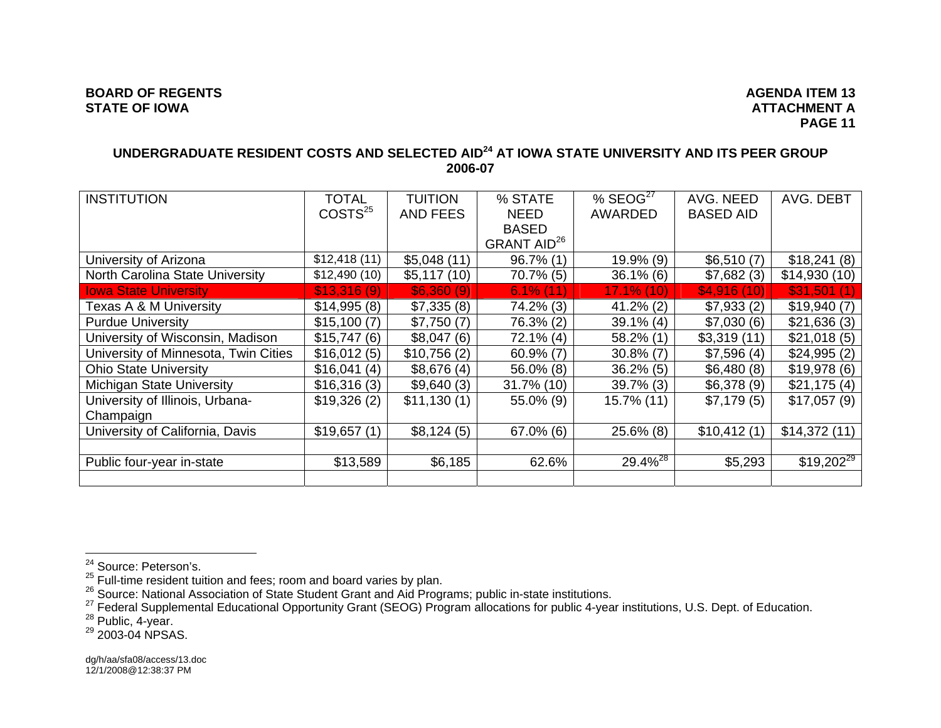# **UNDERGRADUATE RESIDENT COSTS AND SELECTED AID24 AT IOWA STATE UNIVERSITY AND ITS PEER GROUP 2006-07**

| <b>INSTITUTION</b>                   | TOTAL               | <b>TUITION</b> | % STATE                 | % $SCOG27$          | AVG. NEED        | AVG. DEBT      |
|--------------------------------------|---------------------|----------------|-------------------------|---------------------|------------------|----------------|
|                                      | COSTS <sup>25</sup> | AND FEES       | <b>NEED</b>             | AWARDED             | <b>BASED AID</b> |                |
|                                      |                     |                | <b>BASED</b>            |                     |                  |                |
|                                      |                     |                | GRANT AID <sup>26</sup> |                     |                  |                |
| University of Arizona                | \$12,418(11)        | \$5,048(11)    | $96.7\%$ (1)            | $19.9\%$ (9)        | \$6,510(7)       | \$18,241(8)    |
| North Carolina State University      | \$12,490(10)        | \$5,117(10)    | $70.7\%$ (5)            | $36.1\%$ (6)        | \$7,682(3)       | \$14,930(10)   |
| <b>Iowa State University</b>         | \$13,316(9)         | \$6,360(9)     | $6.1\%$ (11)            | $17.1\%$ (10)       | \$4,916(10)      | \$31,501(1)    |
| Texas A & M University               | \$14,995(8)         | \$7,335(8)     | 74.2% (3)               | $41.2\%$ (2)        | \$7,933(2)       | \$19,940(7)    |
| <b>Purdue University</b>             | \$15,100(7)         | \$7,750(7)     | 76.3% (2)               | $39.1\%$ (4)        | \$7,030(6)       | \$21,636(3)    |
| University of Wisconsin, Madison     | \$15,747(6)         | \$8,047(6)     | 72.1% (4)               | 58.2% (1)           | \$3,319(11)      | \$21,018(5)    |
| University of Minnesota, Twin Cities | \$16,012(5)         | \$10,756(2)    | $60.9\%$ (7)            | $30.8\%$ (7)        | \$7,596(4)       | \$24,995(2)    |
| <b>Ohio State University</b>         | \$16,041(4)         | \$8,676(4)     | 56.0% (8)               | $36.2\%$ (5)        | \$6,480(8)       | \$19,978(6)    |
| <b>Michigan State University</b>     | \$16,316(3)         | \$9,640(3)     | 31.7% (10)              | $39.7\%$ (3)        | \$6,378(9)       | \$21,175(4)    |
| University of Illinois, Urbana-      | \$19,326(2)         | \$11,130(1)    | 55.0% (9)               | 15.7% (11)          | \$7,179(5)       | \$17,057(9)    |
| Champaign                            |                     |                |                         |                     |                  |                |
| University of California, Davis      | \$19,657(1)         | \$8,124(5)     | $67.0\%$ (6)            | $25.6\%$ (8)        | \$10,412(1)      | \$14,372(11)   |
|                                      |                     |                |                         |                     |                  |                |
| Public four-year in-state            | \$13,589            | \$6,185        | 62.6%                   | 29.4% <sup>28</sup> | \$5,293          | $$19,202^{29}$ |
|                                      |                     |                |                         |                     |                  |                |

<sup>&</sup>lt;sup>24</sup> Source: Peterson's.<br><sup>25</sup> Full-time resident tuition and fees; room and board varies by plan.<br><sup>26</sup> Source: National Association of State Student Grant and Aid Programs; public in-state institutions.<br><sup>26</sup> Federal Supple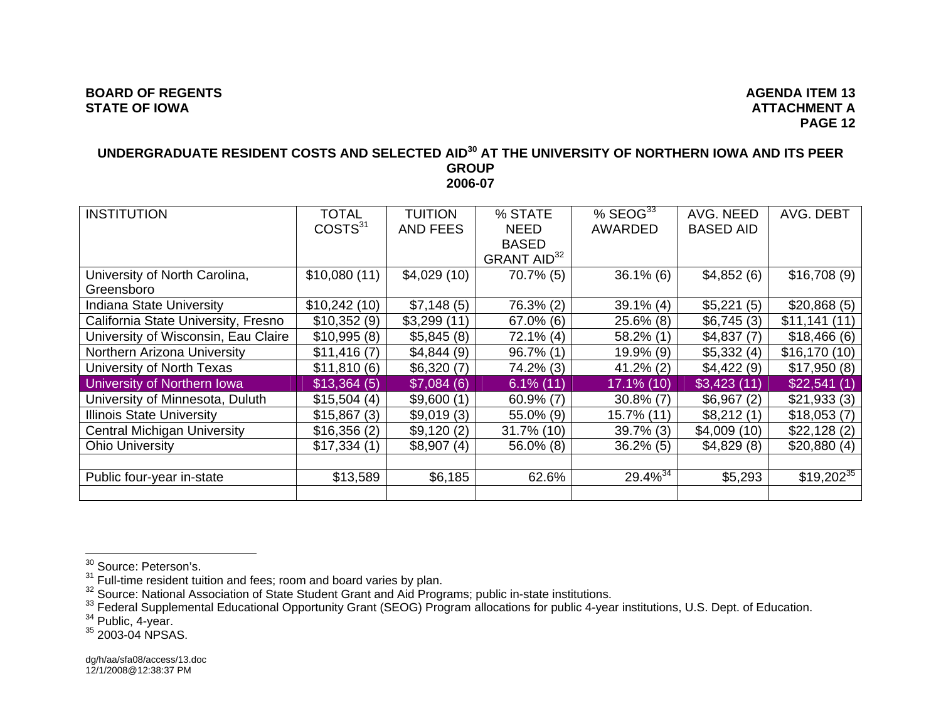#### **BOARD OF REGENTS AGENUS AGENUS** AGENUS AGENUS AGENUS AGENUS AGENUS AGENUS AGENUS AGENUS AGENUS AGENUS AGENUS AGENUS AGENUS AGENUS AGENUS AGENUS AGENUS AGENUS AGENUS AGENUS AGENUS AGENUS AGENUS AGENUS AGENUS AGENUS AGENUS **STATE OF IOWA**

# **ATTACHMENT A PAGE 12**

#### **UNDERGRADUATE RESIDENT COSTS AND SELECTED AID30 AT THE UNIVERSITY OF NORTHERN IOWA AND ITS PEER GROUP 2006-07**

| <b>INSTITUTION</b>                  | TOTAL               | <b>TUITION</b>  | % STATE                 | $%$ SEOG $^{33}$ | AVG. NEED        | AVG. DEBT      |
|-------------------------------------|---------------------|-----------------|-------------------------|------------------|------------------|----------------|
|                                     | COSTS <sup>31</sup> | <b>AND FEES</b> | <b>NEED</b>             | <b>AWARDED</b>   | <b>BASED AID</b> |                |
|                                     |                     |                 | <b>BASED</b>            |                  |                  |                |
|                                     |                     |                 | GRANT AID <sup>32</sup> |                  |                  |                |
| University of North Carolina,       | \$10,080(11)        | \$4,029(10)     | $70.7\%$ (5)            | $36.1\%$ (6)     | \$4,852(6)       | \$16,708(9)    |
| Greensboro                          |                     |                 |                         |                  |                  |                |
| <b>Indiana State University</b>     | \$10,242(10)        | \$7,148(5)      | 76.3% (2)               | $39.1\%$ (4)     | \$5,221(5)       | \$20,868(5)    |
| California State University, Fresno | \$10,352(9)         | \$3,299(11)     | $67.0\%$ (6)            | $25.6\%$ (8)     | \$6,745(3)       | \$11,141(11)   |
| University of Wisconsin, Eau Claire | \$10,995(8)         | \$5,845(8)      | $72.1\%$ (4)            | $58.2\%$ (1)     | \$4,837(7)       | \$18,466(6)    |
| Northern Arizona University         | \$11,416(7)         | \$4,844(9)      | $96.7\%$ (1)            | $19.9\%$ (9)     | \$5,332(4)       | \$16,170(10)   |
| University of North Texas           | \$11,810(6)         | \$6,320(7)      | 74.2% (3)               | $41.2\%$ (2)     | \$4,422(9)       | \$17,950(8)    |
| University of Northern Iowa         | \$13,364(5)         | \$7,084(6)      | $6.1\%$ (11)            | 17.1% (10)       | \$3,423(11)      | \$22,541(1)    |
| University of Minnesota, Duluth     | \$15,504(4)         | \$9,600(1)      | $60.9\%$ (7)            | $30.8\%$ (7)     | \$6,967(2)       | \$21,933(3)    |
| <b>Illinois State University</b>    | \$15,867(3)         | \$9,019(3)      | 55.0% (9)               | 15.7% (11)       | \$8,212(1)       | \$18,053(7)    |
| <b>Central Michigan University</b>  | \$16,356(2)         | \$9,120(2)      | $31.7\%$ (10)           | $39.7\%$ (3)     | \$4,009(10)      | \$22,128(2)    |
| <b>Ohio University</b>              | \$17,334(1)         | \$8,907(4)      | $56.0\%$ (8)            | $36.2\%$ (5)     | \$4,829(8)       | \$20,880(4)    |
|                                     |                     |                 |                         |                  |                  |                |
| Public four-year in-state           | \$13,589            | \$6,185         | 62.6%                   | $29.4\%^{34}$    | \$5,293          | $$19,202^{35}$ |
|                                     |                     |                 |                         |                  |                  |                |

<sup>&</sup>lt;sup>30</sup> Source: Peterson's.<br><sup>31</sup> Full-time resident tuition and fees; room and board varies by plan.<br><sup>32</sup> Source: National Association of State Student Grant and Aid Programs; public in-state institutions.<br><sup>32</sup> Federal Supple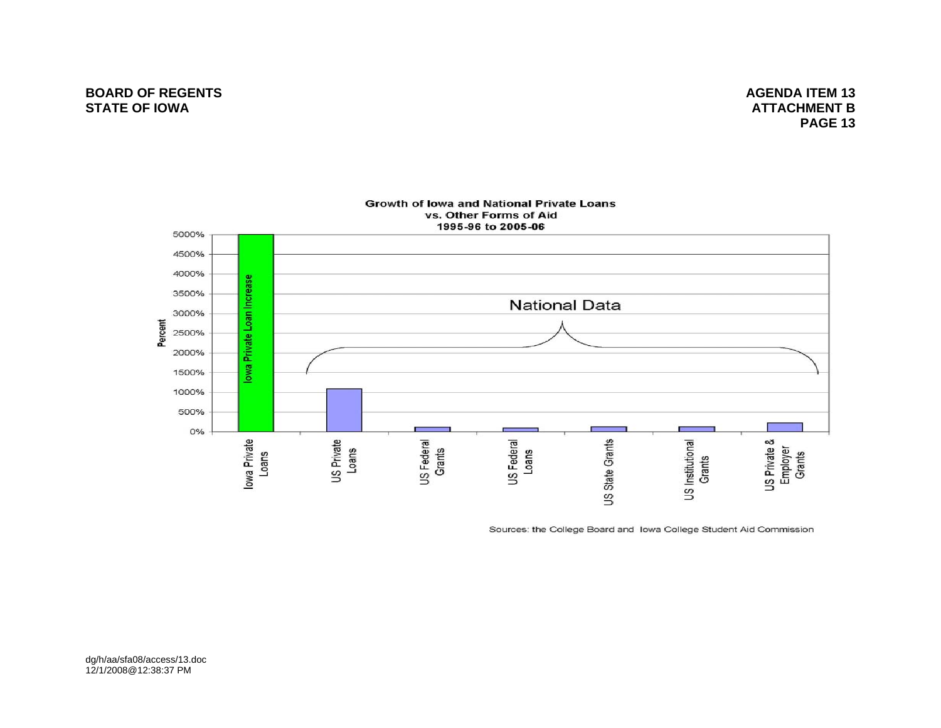# **BOARD OF REGENTS** AGENDA ITEM 13 **STATE OF IOWA**

 **ATTACHMENT BPAGE 13 PAGE 13**



Sources: the College Board and Iowa College Student Aid Commission